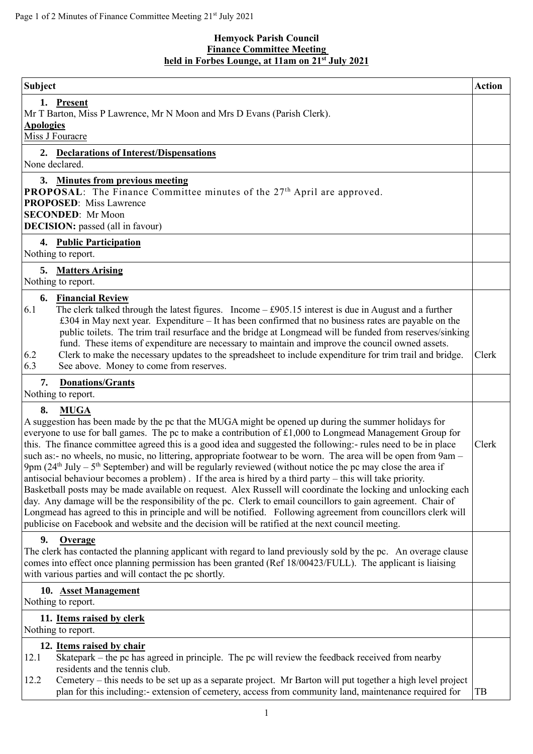## **Hemyock Parish Council Finance Committee Meeting held in Forbes Lounge, at 11am on 21 st July 2021**

| Subject                                                                                                                                                                                                                                                                                                                                                                                                                                                                                                                                                                                                                                                                                                                                                                                                                                                                                                                                                                                                                                                                                                                                                                       | <b>Action</b> |
|-------------------------------------------------------------------------------------------------------------------------------------------------------------------------------------------------------------------------------------------------------------------------------------------------------------------------------------------------------------------------------------------------------------------------------------------------------------------------------------------------------------------------------------------------------------------------------------------------------------------------------------------------------------------------------------------------------------------------------------------------------------------------------------------------------------------------------------------------------------------------------------------------------------------------------------------------------------------------------------------------------------------------------------------------------------------------------------------------------------------------------------------------------------------------------|---------------|
| 1. Present<br>Mr T Barton, Miss P Lawrence, Mr N Moon and Mrs D Evans (Parish Clerk).<br><b>Apologies</b><br>Miss J Fouracre                                                                                                                                                                                                                                                                                                                                                                                                                                                                                                                                                                                                                                                                                                                                                                                                                                                                                                                                                                                                                                                  |               |
| 2. Declarations of Interest/Dispensations<br>None declared.                                                                                                                                                                                                                                                                                                                                                                                                                                                                                                                                                                                                                                                                                                                                                                                                                                                                                                                                                                                                                                                                                                                   |               |
| 3. Minutes from previous meeting<br><b>PROPOSAL:</b> The Finance Committee minutes of the 27 <sup>th</sup> April are approved.<br><b>PROPOSED:</b> Miss Lawrence<br><b>SECONDED:</b> Mr Moon<br><b>DECISION:</b> passed (all in favour)                                                                                                                                                                                                                                                                                                                                                                                                                                                                                                                                                                                                                                                                                                                                                                                                                                                                                                                                       |               |
| 4. Public Participation<br>Nothing to report.                                                                                                                                                                                                                                                                                                                                                                                                                                                                                                                                                                                                                                                                                                                                                                                                                                                                                                                                                                                                                                                                                                                                 |               |
| 5. Matters Arising<br>Nothing to report.                                                                                                                                                                                                                                                                                                                                                                                                                                                                                                                                                                                                                                                                                                                                                                                                                                                                                                                                                                                                                                                                                                                                      |               |
| <b>6.</b> Financial Review<br>6.1<br>The clerk talked through the latest figures. Income $-$ £905.15 interest is due in August and a further<br>£304 in May next year. Expenditure – It has been confirmed that no business rates are payable on the<br>public toilets. The trim trail resurface and the bridge at Longmead will be funded from reserves/sinking<br>fund. These items of expenditure are necessary to maintain and improve the council owned assets.<br>Clerk to make the necessary updates to the spreadsheet to include expenditure for trim trail and bridge.<br>6.2<br>See above. Money to come from reserves.<br>6.3                                                                                                                                                                                                                                                                                                                                                                                                                                                                                                                                     | Clerk         |
| <b>Donations/Grants</b><br>7.<br>Nothing to report.                                                                                                                                                                                                                                                                                                                                                                                                                                                                                                                                                                                                                                                                                                                                                                                                                                                                                                                                                                                                                                                                                                                           |               |
| 8.<br><b>MUGA</b><br>A suggestion has been made by the pc that the MUGA might be opened up during the summer holidays for<br>everyone to use for ball games. The pc to make a contribution of £1,000 to Longmead Management Group for<br>this. The finance committee agreed this is a good idea and suggested the following:- rules need to be in place<br>such as:- no wheels, no music, no littering, appropriate footwear to be worn. The area will be open from 9am -<br>9pm $(24th$ July – 5 <sup>th</sup> September) and will be regularly reviewed (without notice the pc may close the area if<br>antisocial behaviour becomes a problem). If the area is hired by a third party $-$ this will take priority.<br>Basketball posts may be made available on request. Alex Russell will coordinate the locking and unlocking each<br>day. Any damage will be the responsibility of the pc. Clerk to email councillors to gain agreement. Chair of<br>Longmead has agreed to this in principle and will be notified. Following agreement from councillors clerk will<br>publicise on Facebook and website and the decision will be ratified at the next council meeting. |               |
| <b>Overage</b><br>9.<br>The clerk has contacted the planning applicant with regard to land previously sold by the pc. An overage clause<br>comes into effect once planning permission has been granted (Ref 18/00423/FULL). The applicant is liaising<br>with various parties and will contact the pc shortly.                                                                                                                                                                                                                                                                                                                                                                                                                                                                                                                                                                                                                                                                                                                                                                                                                                                                |               |
| 10. Asset Management<br>Nothing to report.                                                                                                                                                                                                                                                                                                                                                                                                                                                                                                                                                                                                                                                                                                                                                                                                                                                                                                                                                                                                                                                                                                                                    |               |
| 11. Items raised by clerk<br>Nothing to report.                                                                                                                                                                                                                                                                                                                                                                                                                                                                                                                                                                                                                                                                                                                                                                                                                                                                                                                                                                                                                                                                                                                               |               |
| 12. Items raised by chair<br>Skatepark – the pc has agreed in principle. The pc will review the feedback received from nearby<br>12.1<br>residents and the tennis club.<br>Cemetery – this needs to be set up as a separate project. Mr Barton will put together a high level project<br>12.2<br>plan for this including:- extension of cemetery, access from community land, maintenance required for                                                                                                                                                                                                                                                                                                                                                                                                                                                                                                                                                                                                                                                                                                                                                                        | TB            |